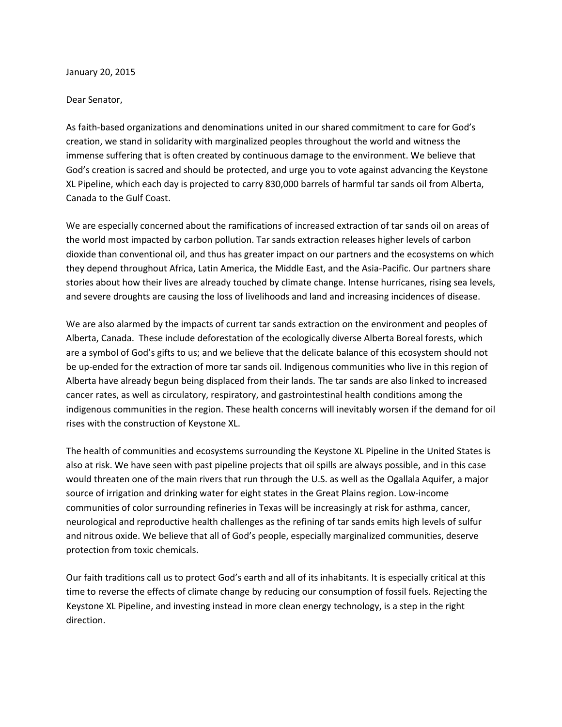January 20, 2015

## Dear Senator,

As faith-based organizations and denominations united in our shared commitment to care for God's creation, we stand in solidarity with marginalized peoples throughout the world and witness the immense suffering that is often created by continuous damage to the environment. We believe that God's creation is sacred and should be protected, and urge you to vote against advancing the Keystone XL Pipeline, which each day is projected to carry 830,000 barrels of harmful tar sands oil from Alberta, Canada to the Gulf Coast.

We are especially concerned about the ramifications of increased extraction of tar sands oil on areas of the world most impacted by carbon pollution. Tar sands extraction releases higher levels of carbon dioxide than conventional oil, and thus has greater impact on our partners and the ecosystems on which they depend throughout Africa, Latin America, the Middle East, and the Asia-Pacific. Our partners share stories about how their lives are already touched by climate change. Intense hurricanes, rising sea levels, and severe droughts are causing the loss of livelihoods and land and increasing incidences of disease.

We are also alarmed by the impacts of current tar sands extraction on the environment and peoples of Alberta, Canada. These include deforestation of the ecologically diverse Alberta Boreal forests, which are a symbol of God's gifts to us; and we believe that the delicate balance of this ecosystem should not be up-ended for the extraction of more tar sands oil. Indigenous communities who live in this region of Alberta have already begun being displaced from their lands. The tar sands are also linked to increased cancer rates, as well as circulatory, respiratory, and gastrointestinal health conditions among the indigenous communities in the region. These health concerns will inevitably worsen if the demand for oil rises with the construction of Keystone XL.

The health of communities and ecosystems surrounding the Keystone XL Pipeline in the United States is also at risk. We have seen with past pipeline projects that oil spills are always possible, and in this case would threaten one of the main rivers that run through the U.S. as well as the Ogallala Aquifer, a major source of irrigation and drinking water for eight states in the Great Plains region. Low-income communities of color surrounding refineries in Texas will be increasingly at risk for asthma, cancer, neurological and reproductive health challenges as the refining of tar sands emits high levels of sulfur and nitrous oxide. We believe that all of God's people, especially marginalized communities, deserve protection from toxic chemicals.

Our faith traditions call us to protect God's earth and all of its inhabitants. It is especially critical at this time to reverse the effects of climate change by reducing our consumption of fossil fuels. Rejecting the Keystone XL Pipeline, and investing instead in more clean energy technology, is a step in the right direction.